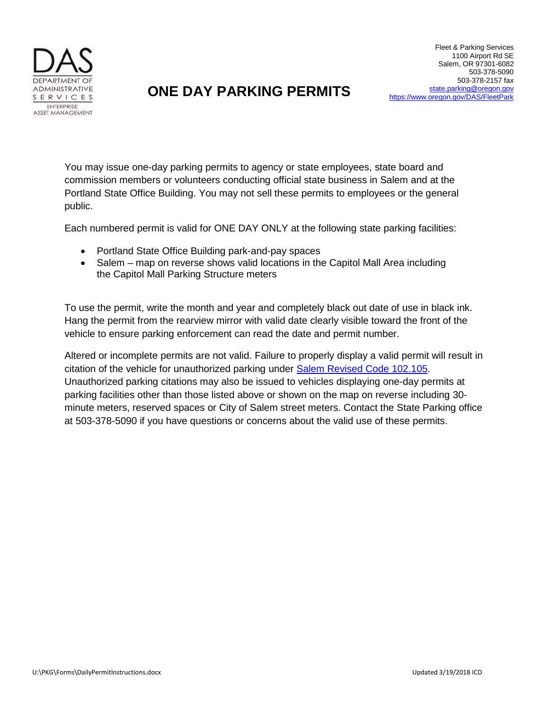

## **ONE DAY PARKING PERMITS**

You may issue one-day parking permits to agency or state employees, state board and commission members or volunteers conducting official state business in Salem and at the Portland State Office Building. You may not sell these permits to employees or the general public.

Each numbered permit is valid for ONE DAY ONLY at the following state parking facilities:

- Portland State Office Building park-and-pay spaces
- Salem map on reverse shows valid locations in the Capitol Mall Area including the Capitol Mall Parking Structure meters

To use the permit, write the month and year and completely black out date of use in black ink. Hang the permit from the rearview mirror with valid date clearly visible toward the front of the vehicle to ensure parking enforcement can read the date and permit number.

Altered or incomplete permits are not valid. Failure to properly display a valid permit will result in citation of the vehicle for unauthorized parking under [Salem Revised Code](https://library.municode.com/or/salem/codes/code_of_ordinances?nodeId=PTIICOOR_TITIXVETR_CH102PA_S102.105UNUSPAPE) 102.105. Unauthorized parking citations may also be issued to vehicles displaying one-day permits at parking facilities other than those listed above or shown on the map on reverse including 30 minute meters, reserved spaces or City of Salem street meters. Contact the State Parking office at 503-378-5090 if you have questions or concerns about the valid use of these permits.